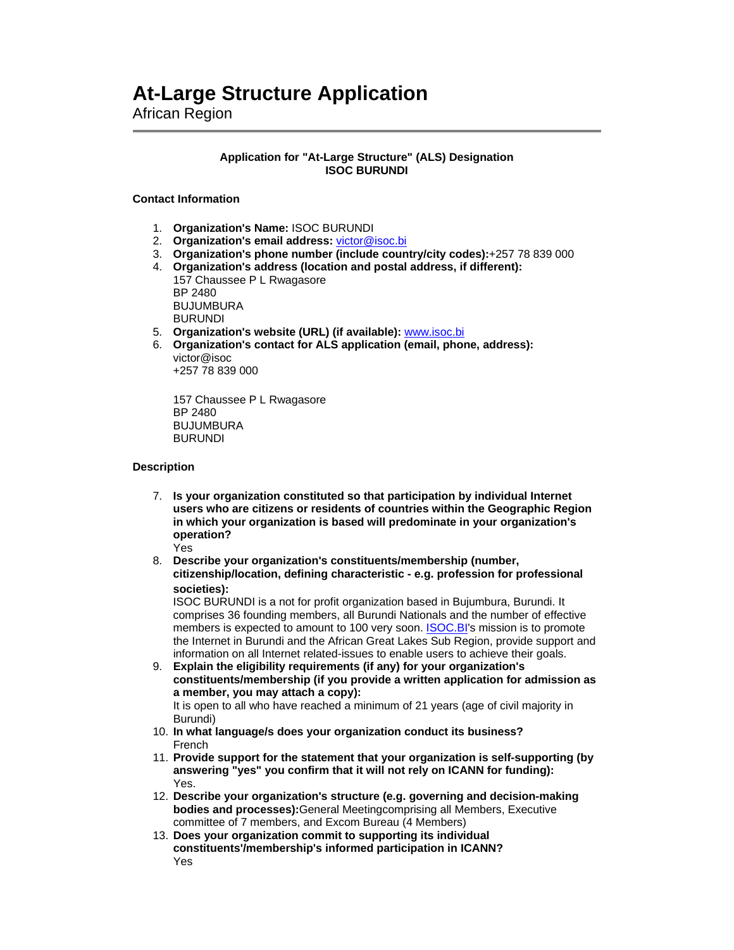# **At-Large Structure Application**

African Region

### **Application for "At-Large Structure" (ALS) Designation ISOC BURUNDI**

#### **Contact Information**

- 1. **Organization's Name:** ISOC BURUNDI
- 2. **Organization's email address:** victor@isoc.bi
- 3. **Organization's phone number (include country/city codes):**+257 78 839 000
- 4. **Organization's address (location and postal address, if different):** 157 Chaussee P L Rwagasore BP 2480 BUJUMBURA BURUNDI
- 5. **Organization's website (URL) (if available):** www.isoc.bi
- 6. **Organization's contact for ALS application (email, phone, address):** victor@isoc

+257 78 839 000

157 Chaussee P L Rwagasore BP 2480 BUJUMBURA BURUNDI

#### **Description**

- 7. **Is your organization constituted so that participation by individual Internet users who are citizens or residents of countries within the Geographic Region in which your organization is based will predominate in your organization's operation?** Yes
- 8. **Describe your organization's constituents/membership (number, citizenship/location, defining characteristic - e.g. profession for professional societies):**

ISOC BURUNDI is a not for profit organization based in Bujumbura, Burundi. It comprises 36 founding members, all Burundi Nationals and the number of effective members is expected to amount to 100 very soon. **ISOC.BI's** mission is to promote the Internet in Burundi and the African Great Lakes Sub Region, provide support and information on all Internet related-issues to enable users to achieve their goals.

9. **Explain the eligibility requirements (if any) for your organization's constituents/membership (if you provide a written application for admission as a member, you may attach a copy):** It is open to all who have reached a minimum of 21 years (age of civil majority in

Burundi)

- 10. **In what language/s does your organization conduct its business?** French
- 11. **Provide support for the statement that your organization is self-supporting (by answering "yes" you confirm that it will not rely on ICANN for funding):** Yes.
- 12. **Describe your organization's structure (e.g. governing and decision-making bodies and processes):**General Meetingcomprising all Members, Executive committee of 7 members, and Excom Bureau (4 Members)
- 13. **Does your organization commit to supporting its individual constituents'/membership's informed participation in ICANN?** Yes